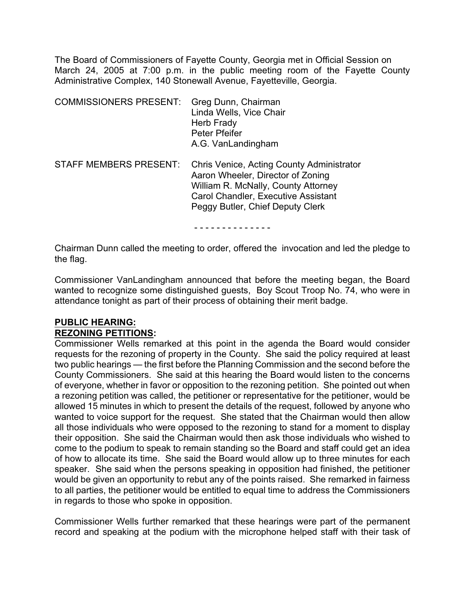The Board of Commissioners of Fayette County, Georgia met in Official Session on March 24, 2005 at 7:00 p.m. in the public meeting room of the Fayette County Administrative Complex, 140 Stonewall Avenue, Fayetteville, Georgia.

| <b>COMMISSIONERS PRESENT:</b> | Greg Dunn, Chairman<br>Linda Wells, Vice Chair<br>Herb Frady<br>Peter Pfeifer<br>A.G. VanLandingham                                                                                              |
|-------------------------------|--------------------------------------------------------------------------------------------------------------------------------------------------------------------------------------------------|
| <b>STAFF MEMBERS PRESENT:</b> | Chris Venice, Acting County Administrator<br>Aaron Wheeler, Director of Zoning<br>William R. McNally, County Attorney<br>Carol Chandler, Executive Assistant<br>Peggy Butler, Chief Deputy Clerk |
|                               |                                                                                                                                                                                                  |

Chairman Dunn called the meeting to order, offered the invocation and led the pledge to the flag.

Commissioner VanLandingham announced that before the meeting began, the Board wanted to recognize some distinguished guests, Boy Scout Troop No. 74, who were in attendance tonight as part of their process of obtaining their merit badge.

# **PUBLIC HEARING:**

#### **REZONING PETITIONS:**

Commissioner Wells remarked at this point in the agenda the Board would consider requests for the rezoning of property in the County. She said the policy required at least two public hearings — the first before the Planning Commission and the second before the County Commissioners. She said at this hearing the Board would listen to the concerns of everyone, whether in favor or opposition to the rezoning petition. She pointed out when a rezoning petition was called, the petitioner or representative for the petitioner, would be allowed 15 minutes in which to present the details of the request, followed by anyone who wanted to voice support for the request. She stated that the Chairman would then allow all those individuals who were opposed to the rezoning to stand for a moment to display their opposition. She said the Chairman would then ask those individuals who wished to come to the podium to speak to remain standing so the Board and staff could get an idea of how to allocate its time. She said the Board would allow up to three minutes for each speaker. She said when the persons speaking in opposition had finished, the petitioner would be given an opportunity to rebut any of the points raised. She remarked in fairness to all parties, the petitioner would be entitled to equal time to address the Commissioners in regards to those who spoke in opposition.

Commissioner Wells further remarked that these hearings were part of the permanent record and speaking at the podium with the microphone helped staff with their task of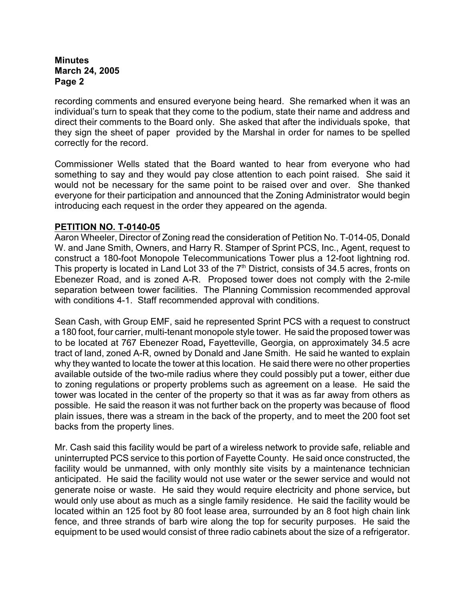recording comments and ensured everyone being heard. She remarked when it was an individual's turn to speak that they come to the podium, state their name and address and direct their comments to the Board only. She asked that after the individuals spoke, that they sign the sheet of paper provided by the Marshal in order for names to be spelled correctly for the record.

Commissioner Wells stated that the Board wanted to hear from everyone who had something to say and they would pay close attention to each point raised. She said it would not be necessary for the same point to be raised over and over. She thanked everyone for their participation and announced that the Zoning Administrator would begin introducing each request in the order they appeared on the agenda.

# **PETITION NO. T-0140-05**

Aaron Wheeler, Director of Zoning read the consideration of Petition No. T-014-05, Donald W. and Jane Smith, Owners, and Harry R. Stamper of Sprint PCS, Inc., Agent, request to construct a 180-foot Monopole Telecommunications Tower plus a 12-foot lightning rod. This property is located in Land Lot 33 of the  $7<sup>th</sup>$  District, consists of 34.5 acres, fronts on Ebenezer Road, and is zoned A-R. Proposed tower does not comply with the 2-mile separation between tower facilities. The Planning Commission recommended approval with conditions 4-1. Staff recommended approval with conditions.

Sean Cash, with Group EMF, said he represented Sprint PCS with a request to construct a 180 foot, four carrier, multi-tenant monopole style tower. He said the proposed tower was to be located at 767 Ebenezer Road**,** Fayetteville, Georgia, on approximately 34.5 acre tract of land, zoned A-R, owned by Donald and Jane Smith. He said he wanted to explain why they wanted to locate the tower at this location. He said there were no other properties available outside of the two-mile radius where they could possibly put a tower, either due to zoning regulations or property problems such as agreement on a lease. He said the tower was located in the center of the property so that it was as far away from others as possible. He said the reason it was not further back on the property was because of flood plain issues, there was a stream in the back of the property, and to meet the 200 foot set backs from the property lines.

Mr. Cash said this facility would be part of a wireless network to provide safe, reliable and uninterrupted PCS service to this portion of Fayette County. He said once constructed, the facility would be unmanned, with only monthly site visits by a maintenance technician anticipated. He said the facility would not use water or the sewer service and would not generate noise or waste. He said they would require electricity and phone service**,** but would only use about as much as a single family residence.He said the facility would be located within an 125 foot by 80 foot lease area, surrounded by an 8 foot high chain link fence, and three strands of barb wire along the top for security purposes. He said the equipment to be used would consist of three radio cabinets about the size of a refrigerator.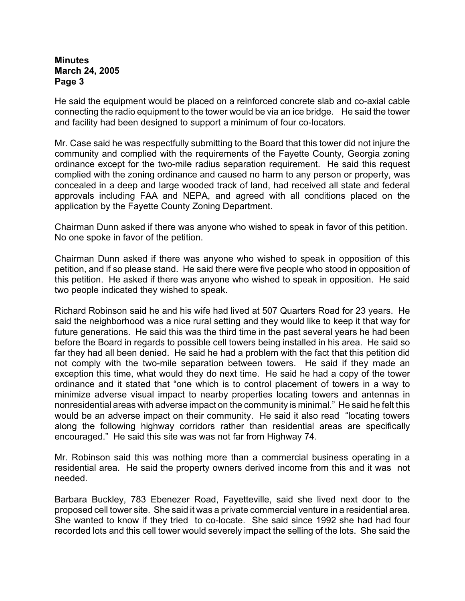He said the equipment would be placed on a reinforced concrete slab and co-axial cable connecting the radio equipment to the tower would be via an ice bridge. He said the tower and facility had been designed to support a minimum of four co-locators.

Mr. Case said he was respectfully submitting to the Board that this tower did not injure the community and complied with the requirements of the Fayette County, Georgia zoning ordinance except for the two-mile radius separation requirement. He said this request complied with the zoning ordinance and caused no harm to any person or property, was concealed in a deep and large wooded track of land, had received all state and federal approvals including FAA and NEPA, and agreed with all conditions placed on the application by the Fayette County Zoning Department.

Chairman Dunn asked if there was anyone who wished to speak in favor of this petition. No one spoke in favor of the petition.

Chairman Dunn asked if there was anyone who wished to speak in opposition of this petition, and if so please stand. He said there were five people who stood in opposition of this petition. He asked if there was anyone who wished to speak in opposition. He said two people indicated they wished to speak.

Richard Robinson said he and his wife had lived at 507 Quarters Road for 23 years. He said the neighborhood was a nice rural setting and they would like to keep it that way for future generations. He said this was the third time in the past several years he had been before the Board in regards to possible cell towers being installed in his area. He said so far they had all been denied. He said he had a problem with the fact that this petition did not comply with the two-mile separation between towers. He said if they made an exception this time, what would they do next time. He said he had a copy of the tower ordinance and it stated that "one which is to control placement of towers in a way to minimize adverse visual impact to nearby properties locating towers and antennas in nonresidential areas with adverse impact on the community is minimal." He said he felt this would be an adverse impact on their community. He said it also read "locating towers along the following highway corridors rather than residential areas are specifically encouraged." He said this site was was not far from Highway 74.

Mr. Robinson said this was nothing more than a commercial business operating in a residential area. He said the property owners derived income from this and it was not needed.

Barbara Buckley, 783 Ebenezer Road, Fayetteville, said she lived next door to the proposed cell tower site. She said it was a private commercial venture in a residential area. She wanted to know if they tried to co-locate. She said since 1992 she had had four recorded lots and this cell tower would severely impact the selling of the lots. She said the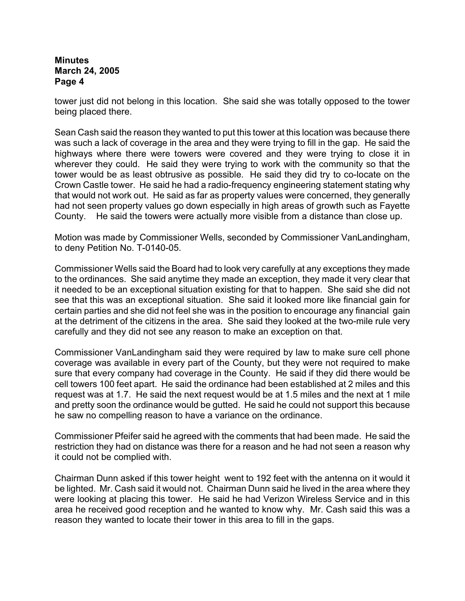tower just did not belong in this location. She said she was totally opposed to the tower being placed there.

Sean Cash said the reason they wanted to put this tower at this location was because there was such a lack of coverage in the area and they were trying to fill in the gap. He said the highways where there were towers were covered and they were trying to close it in wherever they could. He said they were trying to work with the community so that the tower would be as least obtrusive as possible. He said they did try to co-locate on the Crown Castle tower. He said he had a radio-frequency engineering statement stating why that would not work out. He said as far as property values were concerned, they generally had not seen property values go down especially in high areas of growth such as Fayette County. He said the towers were actually more visible from a distance than close up.

Motion was made by Commissioner Wells, seconded by Commissioner VanLandingham, to deny Petition No. T-0140-05.

Commissioner Wells said the Board had to look very carefully at any exceptions they made to the ordinances. She said anytime they made an exception, they made it very clear that it needed to be an exceptional situation existing for that to happen. She said she did not see that this was an exceptional situation. She said it looked more like financial gain for certain parties and she did not feel she was in the position to encourage any financial gain at the detriment of the citizens in the area. She said they looked at the two-mile rule very carefully and they did not see any reason to make an exception on that.

Commissioner VanLandingham said they were required by law to make sure cell phone coverage was available in every part of the County, but they were not required to make sure that every company had coverage in the County. He said if they did there would be cell towers 100 feet apart. He said the ordinance had been established at 2 miles and this request was at 1.7. He said the next request would be at 1.5 miles and the next at 1 mile and pretty soon the ordinance would be gutted. He said he could not support this because he saw no compelling reason to have a variance on the ordinance.

Commissioner Pfeifer said he agreed with the comments that had been made. He said the restriction they had on distance was there for a reason and he had not seen a reason why it could not be complied with.

Chairman Dunn asked if this tower height went to 192 feet with the antenna on it would it be lighted. Mr. Cash said it would not. Chairman Dunn said he lived in the area where they were looking at placing this tower. He said he had Verizon Wireless Service and in this area he received good reception and he wanted to know why. Mr. Cash said this was a reason they wanted to locate their tower in this area to fill in the gaps.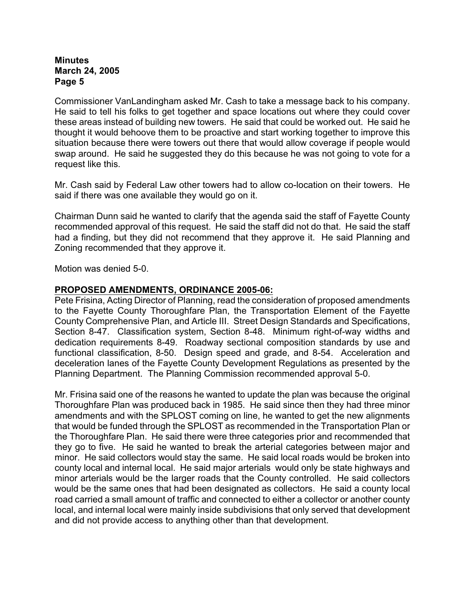Commissioner VanLandingham asked Mr. Cash to take a message back to his company. He said to tell his folks to get together and space locations out where they could cover these areas instead of building new towers. He said that could be worked out. He said he thought it would behoove them to be proactive and start working together to improve this situation because there were towers out there that would allow coverage if people would swap around. He said he suggested they do this because he was not going to vote for a request like this.

Mr. Cash said by Federal Law other towers had to allow co-location on their towers. He said if there was one available they would go on it.

Chairman Dunn said he wanted to clarify that the agenda said the staff of Fayette County recommended approval of this request. He said the staff did not do that. He said the staff had a finding, but they did not recommend that they approve it. He said Planning and Zoning recommended that they approve it.

Motion was denied 5-0.

#### **PROPOSED AMENDMENTS, ORDINANCE 2005-06:**

Pete Frisina, Acting Director of Planning, read the consideration of proposed amendments to the Fayette County Thoroughfare Plan, the Transportation Element of the Fayette County Comprehensive Plan, and Article III. Street Design Standards and Specifications, Section 8-47. Classification system, Section 8-48. Minimum right-of-way widths and dedication requirements 8-49. Roadway sectional composition standards by use and functional classification, 8-50. Design speed and grade, and 8-54. Acceleration and deceleration lanes of the Fayette County Development Regulations as presented by the Planning Department. The Planning Commission recommended approval 5-0.

Mr. Frisina said one of the reasons he wanted to update the plan was because the original Thoroughfare Plan was produced back in 1985. He said since then they had three minor amendments and with the SPLOST coming on line, he wanted to get the new alignments that would be funded through the SPLOST as recommended in the Transportation Plan or the Thoroughfare Plan. He said there were three categories prior and recommended that they go to five. He said he wanted to break the arterial categories between major and minor. He said collectors would stay the same. He said local roads would be broken into county local and internal local. He said major arterials would only be state highways and minor arterials would be the larger roads that the County controlled. He said collectors would be the same ones that had been designated as collectors. He said a county local road carried a small amount of traffic and connected to either a collector or another county local, and internal local were mainly inside subdivisions that only served that development and did not provide access to anything other than that development.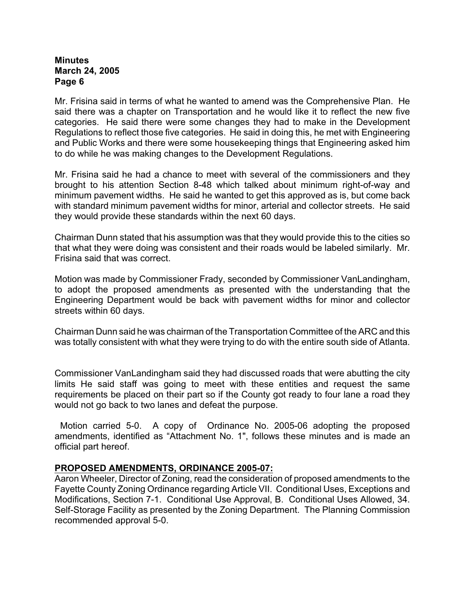Mr. Frisina said in terms of what he wanted to amend was the Comprehensive Plan. He said there was a chapter on Transportation and he would like it to reflect the new five categories. He said there were some changes they had to make in the Development Regulations to reflect those five categories. He said in doing this, he met with Engineering and Public Works and there were some housekeeping things that Engineering asked him to do while he was making changes to the Development Regulations.

Mr. Frisina said he had a chance to meet with several of the commissioners and they brought to his attention Section 8-48 which talked about minimum right-of-way and minimum pavement widths. He said he wanted to get this approved as is, but come back with standard minimum pavement widths for minor, arterial and collector streets. He said they would provide these standards within the next 60 days.

Chairman Dunn stated that his assumption was that they would provide this to the cities so that what they were doing was consistent and their roads would be labeled similarly. Mr. Frisina said that was correct.

Motion was made by Commissioner Frady, seconded by Commissioner VanLandingham, to adopt the proposed amendments as presented with the understanding that the Engineering Department would be back with pavement widths for minor and collector streets within 60 days.

Chairman Dunn said he was chairman of the Transportation Committee of the ARC and this was totally consistent with what they were trying to do with the entire south side of Atlanta.

Commissioner VanLandingham said they had discussed roads that were abutting the city limits He said staff was going to meet with these entities and request the same requirements be placed on their part so if the County got ready to four lane a road they would not go back to two lanes and defeat the purpose.

 Motion carried 5-0. A copy of Ordinance No. 2005-06 adopting the proposed amendments, identified as "Attachment No. 1", follows these minutes and is made an official part hereof.

#### **PROPOSED AMENDMENTS, ORDINANCE 2005-07:**

Aaron Wheeler, Director of Zoning, read the consideration of proposed amendments to the Fayette County Zoning Ordinance regarding Article VII. Conditional Uses, Exceptions and Modifications, Section 7-1. Conditional Use Approval, B. Conditional Uses Allowed, 34. Self-Storage Facility as presented by the Zoning Department. The Planning Commission recommended approval 5-0.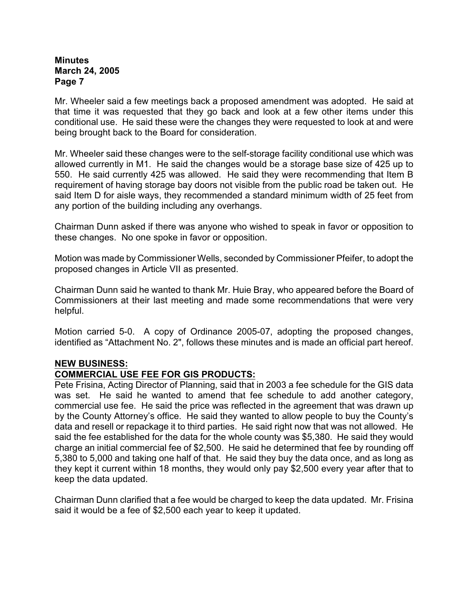Mr. Wheeler said a few meetings back a proposed amendment was adopted. He said at that time it was requested that they go back and look at a few other items under this conditional use. He said these were the changes they were requested to look at and were being brought back to the Board for consideration.

Mr. Wheeler said these changes were to the self-storage facility conditional use which was allowed currently in M1. He said the changes would be a storage base size of 425 up to 550. He said currently 425 was allowed. He said they were recommending that Item B requirement of having storage bay doors not visible from the public road be taken out. He said Item D for aisle ways, they recommended a standard minimum width of 25 feet from any portion of the building including any overhangs.

Chairman Dunn asked if there was anyone who wished to speak in favor or opposition to these changes. No one spoke in favor or opposition.

Motion was made by Commissioner Wells, seconded by Commissioner Pfeifer, to adopt the proposed changes in Article VII as presented.

Chairman Dunn said he wanted to thank Mr. Huie Bray, who appeared before the Board of Commissioners at their last meeting and made some recommendations that were very helpful.

Motion carried 5-0. A copy of Ordinance 2005-07, adopting the proposed changes, identified as "Attachment No. 2", follows these minutes and is made an official part hereof.

# **NEW BUSINESS:**

# **COMMERCIAL USE FEE FOR GIS PRODUCTS:**

Pete Frisina, Acting Director of Planning, said that in 2003 a fee schedule for the GIS data was set. He said he wanted to amend that fee schedule to add another category, commercial use fee. He said the price was reflected in the agreement that was drawn up by the County Attorney's office. He said they wanted to allow people to buy the County's data and resell or repackage it to third parties. He said right now that was not allowed. He said the fee established for the data for the whole county was \$5,380. He said they would charge an initial commercial fee of \$2,500. He said he determined that fee by rounding off 5,380 to 5,000 and taking one half of that. He said they buy the data once, and as long as they kept it current within 18 months, they would only pay \$2,500 every year after that to keep the data updated.

Chairman Dunn clarified that a fee would be charged to keep the data updated. Mr. Frisina said it would be a fee of \$2,500 each year to keep it updated.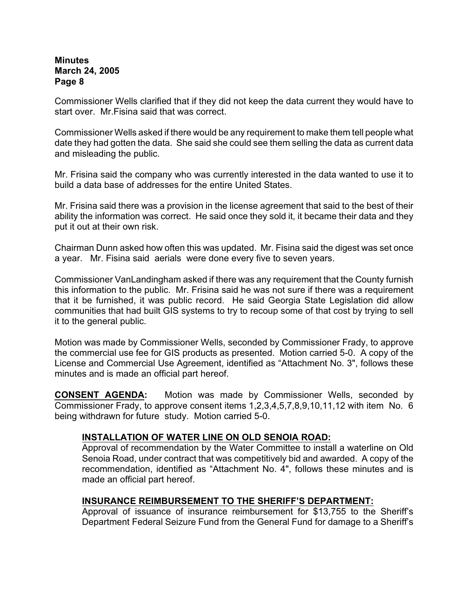Commissioner Wells clarified that if they did not keep the data current they would have to start over. Mr.Fisina said that was correct.

Commissioner Wells asked if there would be any requirement to make them tell people what date they had gotten the data. She said she could see them selling the data as current data and misleading the public.

Mr. Frisina said the company who was currently interested in the data wanted to use it to build a data base of addresses for the entire United States.

Mr. Frisina said there was a provision in the license agreement that said to the best of their ability the information was correct. He said once they sold it, it became their data and they put it out at their own risk.

Chairman Dunn asked how often this was updated. Mr. Fisina said the digest was set once a year. Mr. Fisina said aerials were done every five to seven years.

Commissioner VanLandingham asked if there was any requirement that the County furnish this information to the public. Mr. Frisina said he was not sure if there was a requirement that it be furnished, it was public record. He said Georgia State Legislation did allow communities that had built GIS systems to try to recoup some of that cost by trying to sell it to the general public.

Motion was made by Commissioner Wells, seconded by Commissioner Frady, to approve the commercial use fee for GIS products as presented. Motion carried 5-0. A copy of the License and Commercial Use Agreement, identified as "Attachment No. 3", follows these minutes and is made an official part hereof.

**CONSENT AGENDA:** Motion was made by Commissioner Wells, seconded by Commissioner Frady, to approve consent items 1,2,3,4,5,7,8,9,10,11,12 with item No. 6 being withdrawn for future study. Motion carried 5-0.

#### **INSTALLATION OF WATER LINE ON OLD SENOIA ROAD:**

Approval of recommendation by the Water Committee to install a waterline on Old Senoia Road, under contract that was competitively bid and awarded.A copy of the recommendation, identified as "Attachment No. 4", follows these minutes and is made an official part hereof.

#### **INSURANCE REIMBURSEMENT TO THE SHERIFF'S DEPARTMENT:**

Approval of issuance of insurance reimbursement for \$13,755 to the Sheriff's Department Federal Seizure Fund from the General Fund for damage to a Sheriff's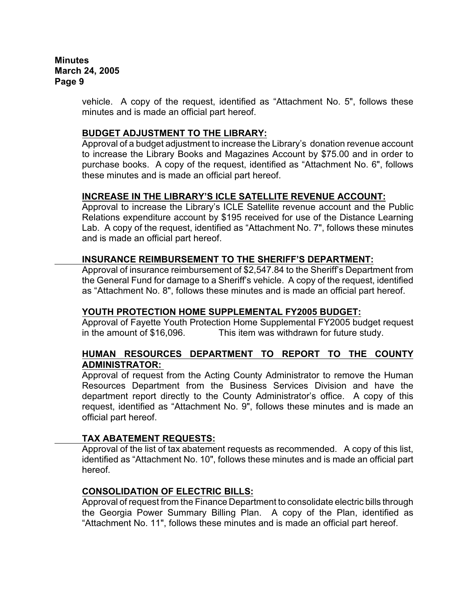> vehicle.A copy of the request, identified as "Attachment No. 5", follows these minutes and is made an official part hereof.

### **BUDGET ADJUSTMENT TO THE LIBRARY:**

Approval of a budget adjustment to increase the Library's donation revenue account to increase the Library Books and Magazines Account by \$75.00 and in order to purchase books. A copy of the request, identified as "Attachment No. 6", follows these minutes and is made an official part hereof.

# **INCREASE IN THE LIBRARY'S ICLE SATELLITE REVENUE ACCOUNT:**

Approval to increase the Library's ICLE Satellite revenue account and the Public Relations expenditure account by \$195 received for use of the Distance Learning Lab. A copy of the request, identified as "Attachment No. 7", follows these minutes and is made an official part hereof.

# **INSURANCE REIMBURSEMENT TO THE SHERIFF'S DEPARTMENT:**

Approval of insurance reimbursement of \$2,547.84 to the Sheriff's Department from the General Fund for damage to a Sheriff's vehicle. A copy of the request, identified as "Attachment No. 8", follows these minutes and is made an official part hereof.

#### **YOUTH PROTECTION HOME SUPPLEMENTAL FY2005 BUDGET:**

Approval of Fayette Youth Protection Home Supplemental FY2005 budget request in the amount of \$16,096. This item was withdrawn for future study.

# **HUMAN RESOURCES DEPARTMENT TO REPORT TO THE COUNTY ADMINISTRATOR:**

Approval of request from the Acting County Administrator to remove the Human Resources Department from the Business Services Division and have the department report directly to the County Administrator's office. A copy of this request, identified as "Attachment No. 9", follows these minutes and is made an official part hereof.

#### **TAX ABATEMENT REQUESTS:**

Approval of the list of tax abatement requests as recommended. A copy of this list, identified as "Attachment No. 10", follows these minutes and is made an official part hereof.

#### **CONSOLIDATION OF ELECTRIC BILLS:**

Approval of request from the Finance Department to consolidate electric bills through the Georgia Power Summary Billing Plan.A copy of the Plan, identified as "Attachment No. 11", follows these minutes and is made an official part hereof.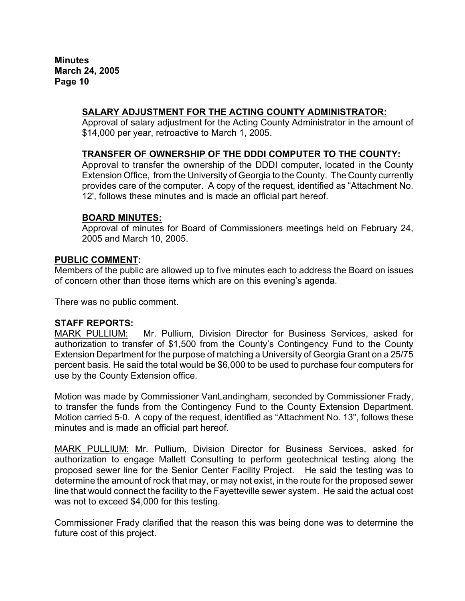# **SALARY ADJUSTMENT FOR THE ACTING COUNTY ADMINISTRATOR:**

Approval of salary adjustment for the Acting County Administrator in the amount of \$14,000 per year, retroactive to March 1, 2005.

# **TRANSFER OF OWNERSHIP OF THE DDDI COMPUTER TO THE COUNTY:**

 Approval to transfer the ownership of the DDDI computer, located in the County Extension Office, from the University of Georgia to the County. The County currently provides care of the computer. A copy of the request, identified as "Attachment No. 12', follows these minutes and is made an official part hereof.

#### **BOARD MINUTES:**

Approval of minutes for Board of Commissioners meetings held on February 24, 2005 and March 10, 2005.

#### **PUBLIC COMMENT:**

Members of the public are allowed up to five minutes each to address the Board on issues of concern other than those items which are on this evening's agenda.

There was no public comment.

# **STAFF REPORTS:**<br>MARK PULLIUM:

Mr. Pullium, Division Director for Business Services, asked for authorization to transfer of \$1,500 from the County's Contingency Fund to the County Extension Department for the purpose of matching a University of Georgia Grant on a 25/75 percent basis. He said the total would be \$6,000 to be used to purchase four computers for use by the County Extension office.

Motion was made by Commissioner VanLandingham, seconded by Commissioner Frady, to transfer the funds from the Contingency Fund to the County Extension Department. Motion carried 5-0. A copy of the request, identified as "Attachment No. 13", follows these minutes and is made an official part hereof.

MARK PULLIUM: Mr. Pullium, Division Director for Business Services, asked for authorization to engage Mallett Consulting to perform geotechnical testing along the proposed sewer line for the Senior Center Facility Project. He said the testing was to determine the amount of rock that may, or may not exist, in the route for the proposed sewer line that would connect the facility to the Fayetteville sewer system. He said the actual cost was not to exceed \$4,000 for this testing.

Commissioner Frady clarified that the reason this was being done was to determine the future cost of this project.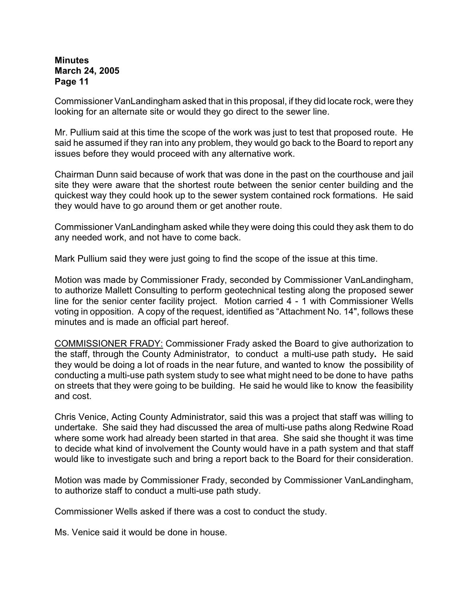Commissioner VanLandingham asked that in this proposal, if they did locate rock, were they looking for an alternate site or would they go direct to the sewer line.

Mr. Pullium said at this time the scope of the work was just to test that proposed route. He said he assumed if they ran into any problem, they would go back to the Board to report any issues before they would proceed with any alternative work.

Chairman Dunn said because of work that was done in the past on the courthouse and jail site they were aware that the shortest route between the senior center building and the quickest way they could hook up to the sewer system contained rock formations. He said they would have to go around them or get another route.

Commissioner VanLandingham asked while they were doing this could they ask them to do any needed work, and not have to come back.

Mark Pullium said they were just going to find the scope of the issue at this time.

Motion was made by Commissioner Frady, seconded by Commissioner VanLandingham, to authorize Mallett Consulting to perform geotechnical testing along the proposed sewer line for the senior center facility project. Motion carried 4 - 1 with Commissioner Wells voting in opposition. A copy of the request, identified as "Attachment No. 14", follows these minutes and is made an official part hereof.

COMMISSIONER FRADY: Commissioner Frady asked the Board to give authorization to the staff, through the County Administrator, to conduct a multi-use path study**.** He said they would be doing a lot of roads in the near future, and wanted to know the possibility of conducting a multi-use path system study to see what might need to be done to have paths on streets that they were going to be building. He said he would like to know the feasibility and cost.

Chris Venice, Acting County Administrator, said this was a project that staff was willing to undertake. She said they had discussed the area of multi-use paths along Redwine Road where some work had already been started in that area. She said she thought it was time to decide what kind of involvement the County would have in a path system and that staff would like to investigate such and bring a report back to the Board for their consideration.

Motion was made by Commissioner Frady, seconded by Commissioner VanLandingham, to authorize staff to conduct a multi-use path study.

Commissioner Wells asked if there was a cost to conduct the study.

Ms. Venice said it would be done in house.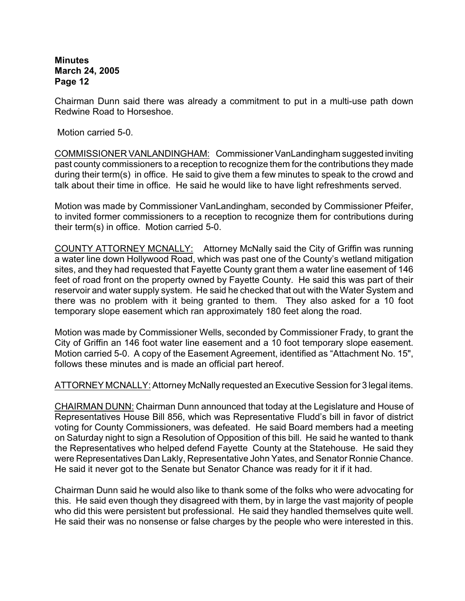Chairman Dunn said there was already a commitment to put in a multi-use path down Redwine Road to Horseshoe.

Motion carried 5-0.

COMMISSIONER VANLANDINGHAM: Commissioner VanLandingham suggested inviting past county commissioners to a reception to recognize them for the contributions they made during their term(s) in office. He said to give them a few minutes to speak to the crowd and talk about their time in office. He said he would like to have light refreshments served.

Motion was made by Commissioner VanLandingham, seconded by Commissioner Pfeifer, to invited former commissioners to a reception to recognize them for contributions during their term(s) in office. Motion carried 5-0.

COUNTY ATTORNEY MCNALLY:Attorney McNally said the City of Griffin was running a water line down Hollywood Road, which was past one of the County's wetland mitigation sites, and they had requested that Fayette County grant them a water line easement of 146 feet of road front on the property owned by Fayette County. He said this was part of their reservoir and water supply system. He said he checked that out with the Water System and there was no problem with it being granted to them. They also asked for a 10 foot temporary slope easement which ran approximately 180 feet along the road.

Motion was made by Commissioner Wells, seconded by Commissioner Frady, to grant the City of Griffin an 146 foot water line easement and a 10 foot temporary slope easement. Motion carried 5-0.A copy of the Easement Agreement, identified as "Attachment No. 15", follows these minutes and is made an official part hereof.

ATTORNEY MCNALLY:Attorney McNally requested an Executive Session for 3 legal items.

CHAIRMAN DUNN: Chairman Dunn announced that today at the Legislature and House of Representatives House Bill 856, which was Representative Fludd's bill in favor of district voting for County Commissioners, was defeated. He said Board members had a meeting on Saturday night to sign a Resolution of Opposition of this bill. He said he wanted to thank the Representatives who helped defend Fayette County at the Statehouse. He said they were Representatives Dan Lakly, Representative John Yates, and Senator Ronnie Chance. He said it never got to the Senate but Senator Chance was ready for it if it had.

Chairman Dunn said he would also like to thank some of the folks who were advocating for this. He said even though they disagreed with them, by in large the vast majority of people who did this were persistent but professional. He said they handled themselves quite well. He said their was no nonsense or false charges by the people who were interested in this.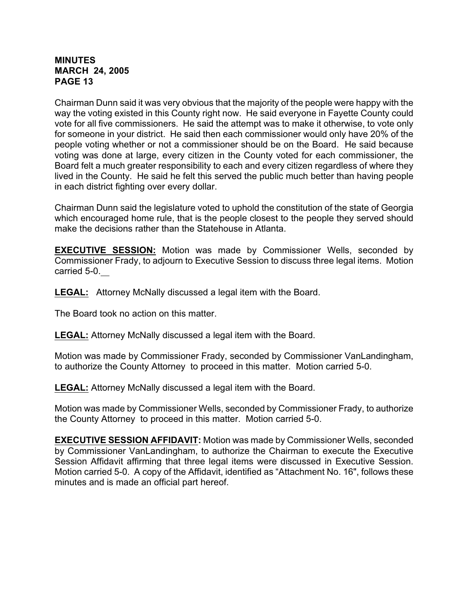#### **MINUTES MARCH 24, 2005 PAGE 13**

Chairman Dunn said it was very obvious that the majority of the people were happy with the way the voting existed in this County right now. He said everyone in Fayette County could vote for all five commissioners. He said the attempt was to make it otherwise, to vote only for someone in your district. He said then each commissioner would only have 20% of the people voting whether or not a commissioner should be on the Board. He said because voting was done at large, every citizen in the County voted for each commissioner, the Board felt a much greater responsibility to each and every citizen regardless of where they lived in the County. He said he felt this served the public much better than having people in each district fighting over every dollar.

Chairman Dunn said the legislature voted to uphold the constitution of the state of Georgia which encouraged home rule, that is the people closest to the people they served should make the decisions rather than the Statehouse in Atlanta.

**EXECUTIVE SESSION:** Motion was made by Commissioner Wells, seconded by Commissioner Frady, to adjourn to Executive Session to discuss three legal items. Motion carried 5-0.

**LEGAL:** Attorney McNally discussed a legal item with the Board.

The Board took no action on this matter.

**LEGAL:** Attorney McNally discussed a legal item with the Board.

Motion was made by Commissioner Frady, seconded by Commissioner VanLandingham, to authorize the County Attorney to proceed in this matter. Motion carried 5-0.

**LEGAL:** Attorney McNally discussed a legal item with the Board.

Motion was made by Commissioner Wells, seconded by Commissioner Frady, to authorize the County Attorney to proceed in this matter. Motion carried 5-0.

**EXECUTIVE SESSION AFFIDAVIT:** Motion was made by Commissioner Wells, seconded by Commissioner VanLandingham, to authorize the Chairman to execute the Executive Session Affidavit affirming that three legal items were discussed in Executive Session. Motion carried 5-0. A copy of the Affidavit, identified as "Attachment No. 16", follows these minutes and is made an official part hereof.